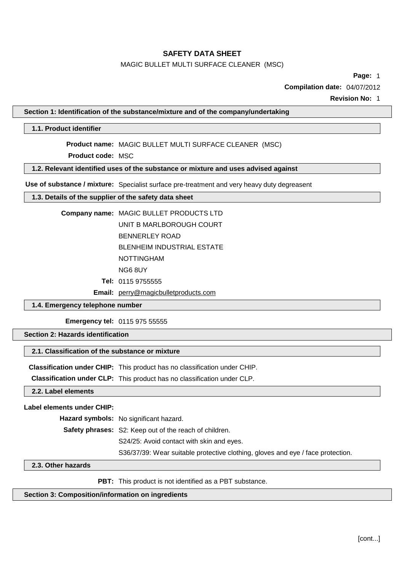# MAGIC BULLET MULTI SURFACE CLEANER (MSC)

**Page:** 1

**Compilation date:** 04/07/2012

**Revision No:** 1

**Section 1: Identification of the substance/mixture and of the company/undertaking**

## **1.1. Product identifier**

**Product name:** MAGIC BULLET MULTI SURFACE CLEANER (MSC)

**Product code:** MSC

**1.2. Relevant identified uses of the substance or mixture and uses advised against**

**Use of substance / mixture:** Specialist surface pre-treatment and very heavy duty degreasent

# **1.3. Details of the supplier of the safety data sheet**

| Company name: MAGIC BULLET PRODUCTS LTD |
|-----------------------------------------|
| UNIT B MARLBOROUGH COURT                |
| BENNERLEY ROAD                          |
| <b>BLENHEIM INDUSTRIAL ESTATE</b>       |
| <b>NOTTINGHAM</b>                       |
| NG6 8UY                                 |

**Tel:** 0115 9755555

**Email:** [perry@magicbulletproducts.com](mailto:perry@magicbulletproducts.com)

# **1.4. Emergency telephone number**

**Emergency tel:** 0115 975 55555

**Section 2: Hazards identification**

# **2.1. Classification of the substance or mixture**

**Classification under CHIP:** This product has no classification under CHIP.

**Classification under CLP:** This product has no classification under CLP.

**2.2. Label elements**

## **Label elements under CHIP:**

**Hazard symbols:** No significant hazard.

**Safety phrases:** S2: Keep out of the reach of children.

S24/25: Avoid contact with skin and eyes.

S36/37/39: Wear suitable protective clothing, gloves and eye / face protection.

# **2.3. Other hazards**

**PBT:** This product is not identified as a PBT substance.

# **Section 3: Composition/information on ingredients**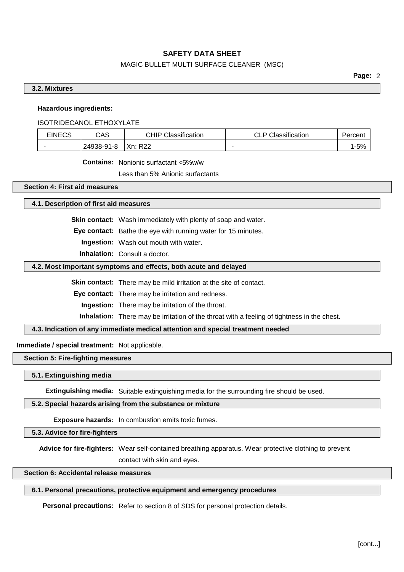# MAGIC BULLET MULTI SURFACE CLEANER (MSC)

**Page:** 2

## **3.2. Mixtures**

#### **Hazardous ingredients:**

# ISOTRIDECANOL ETHOXYLATE

| <b>EINECS</b> | CAS        | <b>CHIP Classification</b> | <b>CLP Classification</b> |      |
|---------------|------------|----------------------------|---------------------------|------|
|               | 24938-91-8 | Xn:<br>R <sub>22</sub>     | $\overline{\phantom{a}}$  | 1-5% |

**Contains:** Nonionic surfactant <5%w/w

Less than 5% Anionic surfactants

#### **Section 4: First aid measures**

### **4.1. Description of first aid measures**

**Skin contact:** Wash immediately with plenty of soap and water.

**Eye contact:** Bathe the eye with running water for 15 minutes.

**Ingestion:** Wash out mouth with water.

**Inhalation:** Consult a doctor.

### **4.2. Most important symptoms and effects, both acute and delayed**

**Skin contact:** There may be mild irritation at the site of contact.

**Eye contact:** There may be irritation and redness.

**Ingestion:** There may be irritation of the throat.

**Inhalation:** There may be irritation of the throat with a feeling of tightness in the chest.

**4.3. Indication of any immediate medical attention and special treatment needed**

**Immediate / special treatment:** Not applicable.

# **Section 5: Fire-fighting measures**

#### **5.1. Extinguishing media**

**Extinguishing media:** Suitable extinguishing media for the surrounding fire should be used.

## **5.2. Special hazards arising from the substance or mixture**

**Exposure hazards:** In combustion emits toxic fumes.

**5.3. Advice for fire-fighters**

**Advice for fire-fighters:** Wear self-contained breathing apparatus. Wear protective clothing to prevent

contact with skin and eyes.

**Section 6: Accidental release measures**

# **6.1. Personal precautions, protective equipment and emergency procedures**

**Personal precautions:** Refer to section 8 of SDS for personal protection details.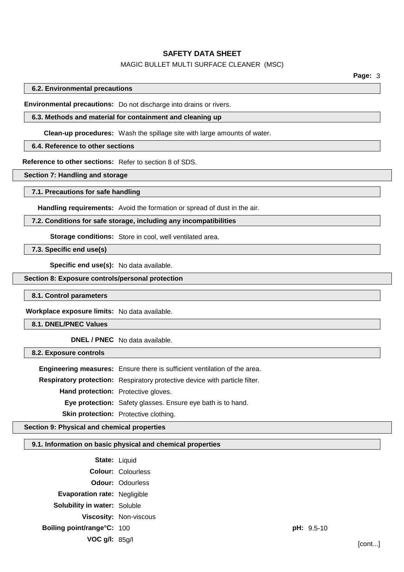### MAGIC BULLET MULTI SURFACE CLEANER (MSC)

**Page:** 3

#### **6.2. Environmental precautions**

**Environmental precautions:** Do not discharge into drains or rivers.

# **6.3. Methods and material for containment and cleaning up**

**Clean-up procedures:** Wash the spillage site with large amounts of water.

# **6.4. Reference to other sections**

**Reference to other sections:** Refer to section 8 of SDS.

**Section 7: Handling and storage**

#### **7.1. Precautions for safe handling**

**Handling requirements:** Avoid the formation or spread of dust in the air.

#### **7.2. Conditions for safe storage, including any incompatibilities**

**Storage conditions:** Store in cool, well ventilated area.

**7.3. Specific end use(s)**

**Specific end use(s):** No data available.

#### **Section 8: Exposure controls/personal protection**

#### **8.1. Control parameters**

**Workplace exposure limits:** No data available.

**8.1. DNEL/PNEC Values**

**DNEL / PNEC** No data available.

#### **8.2. Exposure controls**

**Engineering measures:** Ensure there is sufficient ventilation of the area.

**Respiratory protection:** Respiratory protective device with particle filter. **Hand protection:** Protective gloves.

**Eye protection:** Safety glasses. Ensure eye bath is to hand.

**Skin protection:** Protective clothing.

# **Section 9: Physical and chemical properties**

## **9.1. Information on basic physical and chemical properties**

| <b>State: Liquid</b>                |                           |            |        |
|-------------------------------------|---------------------------|------------|--------|
|                                     | <b>Colour: Colourless</b> |            |        |
|                                     | <b>Odour: Odourless</b>   |            |        |
| Evaporation rate: Negligible        |                           |            |        |
| <b>Solubility in water: Soluble</b> |                           |            |        |
|                                     | Viscosity: Non-viscous    |            |        |
| Boiling point/range°C: 100          |                           | pH: 9.5-10 |        |
| VOC $g/l: 85g/l$                    |                           |            | [cont] |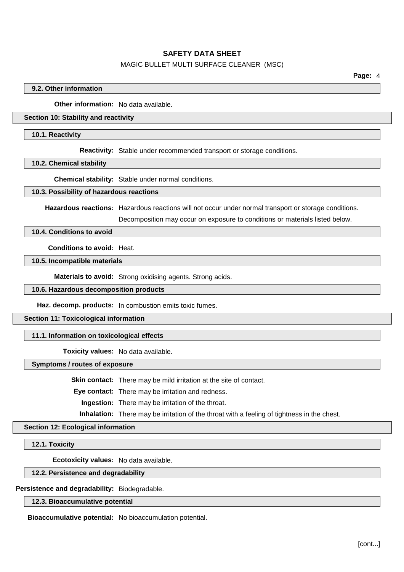### MAGIC BULLET MULTI SURFACE CLEANER (MSC)

## **9.2. Other information**

**Other information:** No data available.

### **Section 10: Stability and reactivity**

#### **10.1. Reactivity**

**Reactivity:** Stable under recommended transport or storage conditions.

#### **10.2. Chemical stability**

**Chemical stability:** Stable under normal conditions.

#### **10.3. Possibility of hazardous reactions**

**Hazardous reactions:** Hazardous reactions will not occur under normal transport or storage conditions.

Decomposition may occur on exposure to conditions or materials listed below.

### **10.4. Conditions to avoid**

**Conditions to avoid:** Heat.

**10.5. Incompatible materials**

**Materials to avoid:** Strong oxidising agents. Strong acids.

# **10.6. Hazardous decomposition products**

**Haz. decomp. products:** In combustion emits toxic fumes.

#### **Section 11: Toxicological information**

#### **11.1. Information on toxicological effects**

**Toxicity values:** No data available.

### **Symptoms / routes of exposure**

**Skin contact:** There may be mild irritation at the site of contact.

**Eye contact:** There may be irritation and redness.

**Ingestion:** There may be irritation of the throat.

**Inhalation:** There may be irritation of the throat with a feeling of tightness in the chest.

# **Section 12: Ecological information**

**12.1. Toxicity**

**Ecotoxicity values:** No data available.

#### **12.2. Persistence and degradability**

**Persistence and degradability:** Biodegradable.

## **12.3. Bioaccumulative potential**

**Bioaccumulative potential:** No bioaccumulation potential.